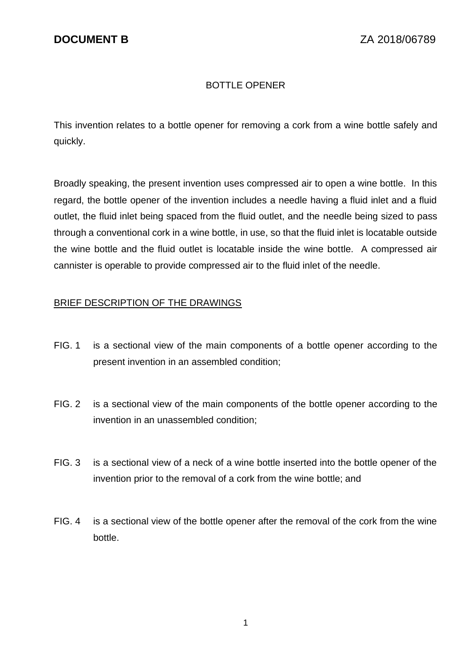# BOTTLE OPENER

This invention relates to a bottle opener for removing a cork from a wine bottle safely and quickly.

Broadly speaking, the present invention uses compressed air to open a wine bottle. In this regard, the bottle opener of the invention includes a needle having a fluid inlet and a fluid outlet, the fluid inlet being spaced from the fluid outlet, and the needle being sized to pass through a conventional cork in a wine bottle, in use, so that the fluid inlet is locatable outside the wine bottle and the fluid outlet is locatable inside the wine bottle. A compressed air cannister is operable to provide compressed air to the fluid inlet of the needle.

### BRIEF DESCRIPTION OF THE DRAWINGS

- FIG. 1 is a sectional view of the main components of a bottle opener according to the present invention in an assembled condition;
- FIG. 2 is a sectional view of the main components of the bottle opener according to the invention in an unassembled condition;
- FIG. 3 is a sectional view of a neck of a wine bottle inserted into the bottle opener of the invention prior to the removal of a cork from the wine bottle; and
- FIG. 4 is a sectional view of the bottle opener after the removal of the cork from the wine bottle.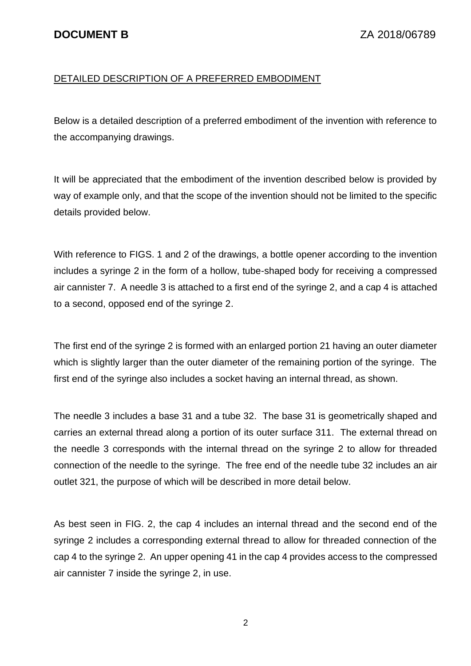## DETAILED DESCRIPTION OF A PREFERRED EMBODIMENT

Below is a detailed description of a preferred embodiment of the invention with reference to the accompanying drawings.

It will be appreciated that the embodiment of the invention described below is provided by way of example only, and that the scope of the invention should not be limited to the specific details provided below.

With reference to FIGS. 1 and 2 of the drawings, a bottle opener according to the invention includes a syringe 2 in the form of a hollow, tube-shaped body for receiving a compressed air cannister 7. A needle 3 is attached to a first end of the syringe 2, and a cap 4 is attached to a second, opposed end of the syringe 2.

The first end of the syringe 2 is formed with an enlarged portion 21 having an outer diameter which is slightly larger than the outer diameter of the remaining portion of the syringe. The first end of the syringe also includes a socket having an internal thread, as shown.

The needle 3 includes a base 31 and a tube 32. The base 31 is geometrically shaped and carries an external thread along a portion of its outer surface 311. The external thread on the needle 3 corresponds with the internal thread on the syringe 2 to allow for threaded connection of the needle to the syringe. The free end of the needle tube 32 includes an air outlet 321, the purpose of which will be described in more detail below.

As best seen in FIG. 2, the cap 4 includes an internal thread and the second end of the syringe 2 includes a corresponding external thread to allow for threaded connection of the cap 4 to the syringe 2. An upper opening 41 in the cap 4 provides access to the compressed air cannister 7 inside the syringe 2, in use.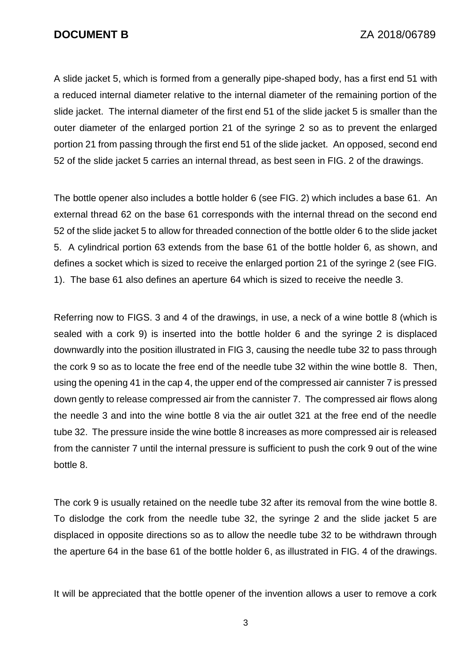A slide jacket 5, which is formed from a generally pipe-shaped body, has a first end 51 with a reduced internal diameter relative to the internal diameter of the remaining portion of the slide jacket. The internal diameter of the first end 51 of the slide jacket 5 is smaller than the outer diameter of the enlarged portion 21 of the syringe 2 so as to prevent the enlarged portion 21 from passing through the first end 51 of the slide jacket. An opposed, second end 52 of the slide jacket 5 carries an internal thread, as best seen in FIG. 2 of the drawings.

The bottle opener also includes a bottle holder 6 (see FIG. 2) which includes a base 61. An external thread 62 on the base 61 corresponds with the internal thread on the second end 52 of the slide jacket 5 to allow for threaded connection of the bottle older 6 to the slide jacket 5. A cylindrical portion 63 extends from the base 61 of the bottle holder 6, as shown, and defines a socket which is sized to receive the enlarged portion 21 of the syringe 2 (see FIG. 1). The base 61 also defines an aperture 64 which is sized to receive the needle 3.

Referring now to FIGS. 3 and 4 of the drawings, in use, a neck of a wine bottle 8 (which is sealed with a cork 9) is inserted into the bottle holder 6 and the syringe 2 is displaced downwardly into the position illustrated in FIG 3, causing the needle tube 32 to pass through the cork 9 so as to locate the free end of the needle tube 32 within the wine bottle 8. Then, using the opening 41 in the cap 4, the upper end of the compressed air cannister 7 is pressed down gently to release compressed air from the cannister 7. The compressed air flows along the needle 3 and into the wine bottle 8 via the air outlet 321 at the free end of the needle tube 32. The pressure inside the wine bottle 8 increases as more compressed air is released from the cannister 7 until the internal pressure is sufficient to push the cork 9 out of the wine bottle 8.

The cork 9 is usually retained on the needle tube 32 after its removal from the wine bottle 8. To dislodge the cork from the needle tube 32, the syringe 2 and the slide jacket 5 are displaced in opposite directions so as to allow the needle tube 32 to be withdrawn through the aperture 64 in the base 61 of the bottle holder 6, as illustrated in FIG. 4 of the drawings.

It will be appreciated that the bottle opener of the invention allows a user to remove a cork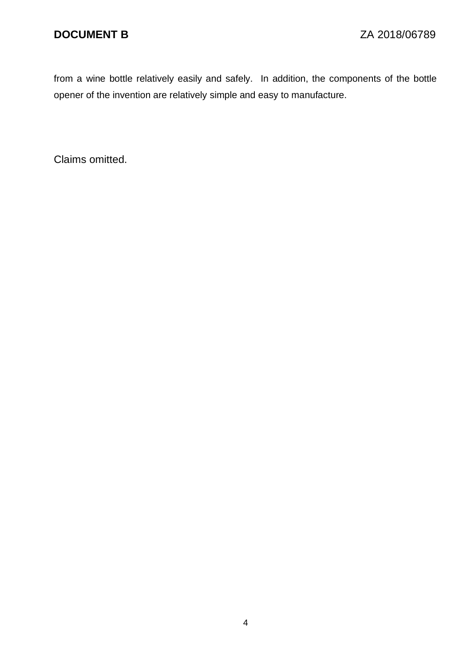from a wine bottle relatively easily and safely. In addition, the components of the bottle opener of the invention are relatively simple and easy to manufacture.

Claims omitted.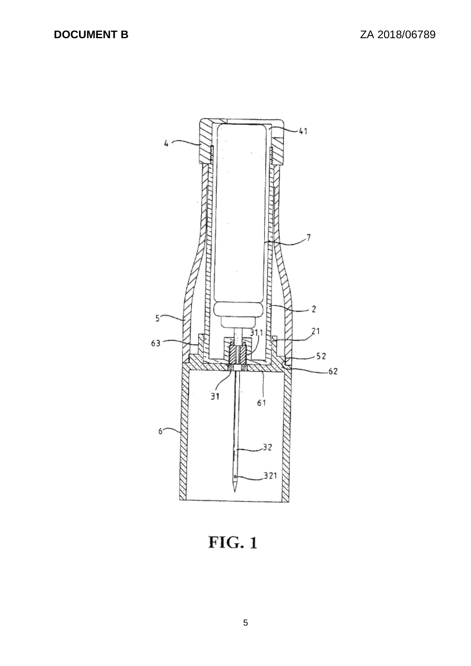

 $FIG. 1$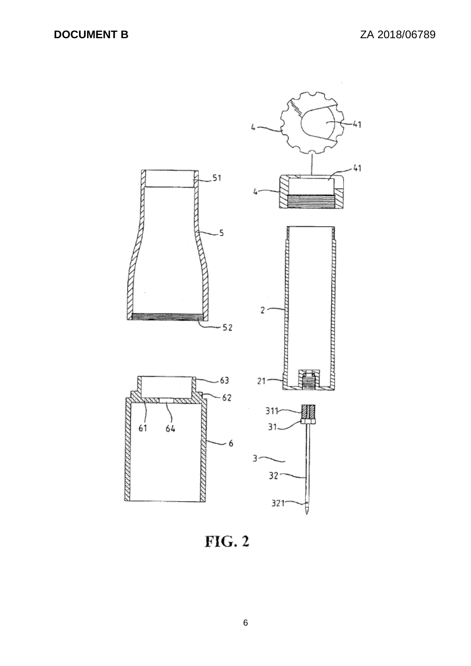

 $FIG. 2$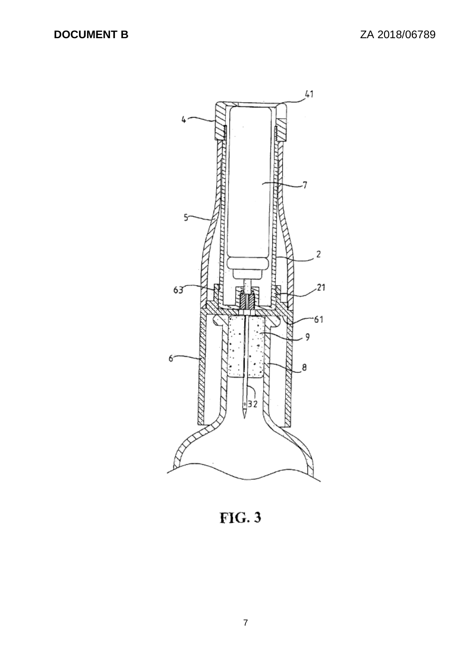

 $FIG. 3$ 

7